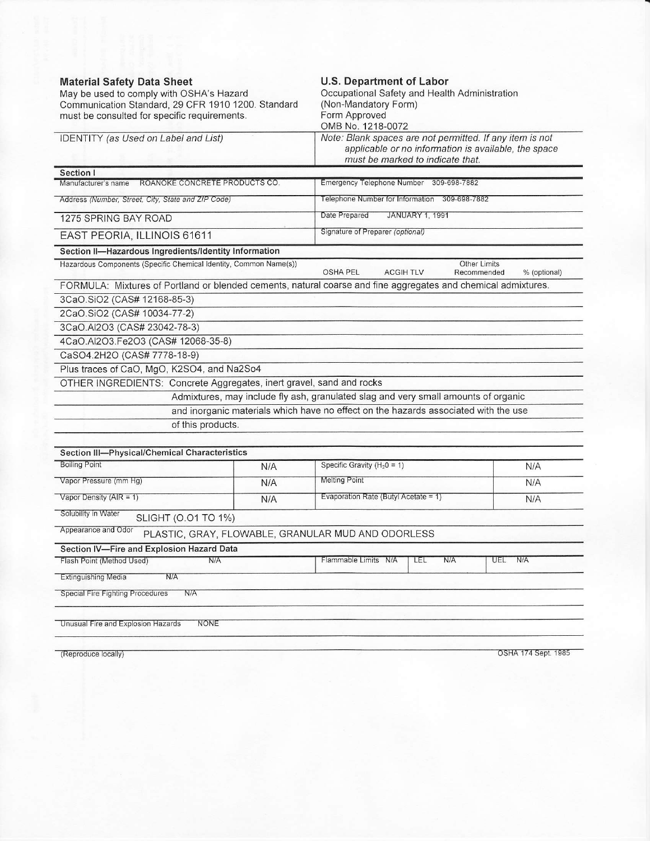| Communication Standard, 29 CFR 1910 1200. Standard                                                            | <b>U.S. Department of Labor</b><br>Occupational Safety and Health Administration<br>(Non-Mandatory Form)<br>Form Approved<br>OMB No. 1218-0072<br>Note: Blank spaces are not permitted. If any item is not<br>applicable or no information is available, the space<br>must be marked to indicate that. |                                                    |  |
|---------------------------------------------------------------------------------------------------------------|--------------------------------------------------------------------------------------------------------------------------------------------------------------------------------------------------------------------------------------------------------------------------------------------------------|----------------------------------------------------|--|
| must be consulted for specific requirements.                                                                  |                                                                                                                                                                                                                                                                                                        |                                                    |  |
| IDENTITY (as Used on Label and List)                                                                          |                                                                                                                                                                                                                                                                                                        |                                                    |  |
| Section I                                                                                                     |                                                                                                                                                                                                                                                                                                        |                                                    |  |
| ROANOKE CONCRETE PRODUCTS CO.<br>Manufacturer's name                                                          | Emergency Telephone Number 309-698-7882                                                                                                                                                                                                                                                                |                                                    |  |
| Address (Number, Street, City, State and ZIP Code)                                                            | Telephone Number for Information 309-698-7882                                                                                                                                                                                                                                                          |                                                    |  |
| 1275 SPRING BAY ROAD                                                                                          | Date Prepared<br>JANUARY 1, 1991                                                                                                                                                                                                                                                                       |                                                    |  |
| EAST PEORIA, ILLINOIS 61611                                                                                   | Signature of Preparer (optional)                                                                                                                                                                                                                                                                       |                                                    |  |
| Section II-Hazardous Ingredients/Identity Information                                                         |                                                                                                                                                                                                                                                                                                        |                                                    |  |
| Hazardous Components (Specific Chemical Identity, Common Name(s))                                             | <b>OSHA PEL</b><br><b>ACGIH TLV</b>                                                                                                                                                                                                                                                                    | <b>Other Limits</b><br>Recommended<br>% (optional) |  |
| FORMULA: Mixtures of Portland or blended cements, natural coarse and fine aggregates and chemical admixtures. |                                                                                                                                                                                                                                                                                                        |                                                    |  |
| 3CaO.SiO2 (CAS# 12168-85-3)                                                                                   |                                                                                                                                                                                                                                                                                                        |                                                    |  |
| 2CaO.SiO2 (CAS# 10034-77-2)                                                                                   |                                                                                                                                                                                                                                                                                                        |                                                    |  |
| 3CaO.Al2O3 (CAS# 23042-78-3)                                                                                  |                                                                                                                                                                                                                                                                                                        |                                                    |  |
| 4CaO.Al2O3.Fe2O3 (CAS# 12068-35-8)                                                                            |                                                                                                                                                                                                                                                                                                        |                                                    |  |
| CaSO4.2H2O (CAS# 7778-18-9)                                                                                   |                                                                                                                                                                                                                                                                                                        |                                                    |  |
| Plus traces of CaO, MgO, K2SO4, and Na2So4                                                                    |                                                                                                                                                                                                                                                                                                        |                                                    |  |
| OTHER INGREDIENTS: Concrete Aggregates, inert gravel, sand and rocks                                          |                                                                                                                                                                                                                                                                                                        |                                                    |  |
|                                                                                                               | Admixtures, may include fly ash, granulated slag and very small amounts of organic                                                                                                                                                                                                                     |                                                    |  |
|                                                                                                               | and inorganic materials which have no effect on the hazards associated with the use                                                                                                                                                                                                                    |                                                    |  |
| of this products.                                                                                             |                                                                                                                                                                                                                                                                                                        |                                                    |  |
| Section III-Physical/Chemical Characteristics                                                                 |                                                                                                                                                                                                                                                                                                        |                                                    |  |
| <b>Boiling Point</b><br>N/A                                                                                   | Specific Gravity ( $H_2$ 0 = 1)                                                                                                                                                                                                                                                                        | N/A                                                |  |
| Vapor Pressure (mm Hg)                                                                                        | <b>Melting Point</b>                                                                                                                                                                                                                                                                                   |                                                    |  |
| N/A<br>Vapor Density ( $AIR = 1$ )                                                                            | Evaporation Rate (Butyl Acetate = 1)                                                                                                                                                                                                                                                                   | N/A                                                |  |
| N/A                                                                                                           | N/A                                                                                                                                                                                                                                                                                                    |                                                    |  |
| Solubility in Water<br>SLIGHT (0.01 TO 1%)                                                                    |                                                                                                                                                                                                                                                                                                        |                                                    |  |
| Appearance and Odor<br>PLASTIC, GRAY, FLOWABLE, GRANULAR MUD AND ODORLESS                                     |                                                                                                                                                                                                                                                                                                        |                                                    |  |
| Section IV-Fire and Explosion Hazard Data                                                                     |                                                                                                                                                                                                                                                                                                        |                                                    |  |
| Flash Point (Method Used)<br>N/A                                                                              | N/A<br>Flammable Limits N/A<br>LEL                                                                                                                                                                                                                                                                     | N/A<br>UEL                                         |  |
| Extinguishing Media<br>N/A                                                                                    |                                                                                                                                                                                                                                                                                                        |                                                    |  |
| Special Fire Fighting Procedures<br>N/A                                                                       |                                                                                                                                                                                                                                                                                                        |                                                    |  |
| Unusual Fire and Explosion Hazards<br>NONE                                                                    |                                                                                                                                                                                                                                                                                                        |                                                    |  |
|                                                                                                               |                                                                                                                                                                                                                                                                                                        |                                                    |  |